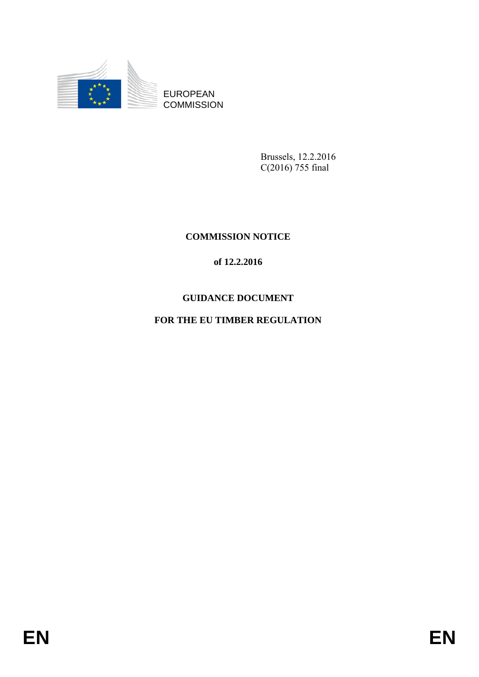

EUROPEAN **COMMISSION** 

> Brussels, 12.2.2016 C(2016) 755 final

# **COMMISSION NOTICE**

# **of 12.2.2016**

# **GUIDANCE DOCUMENT**

# **FOR THE EU TIMBER REGULATION**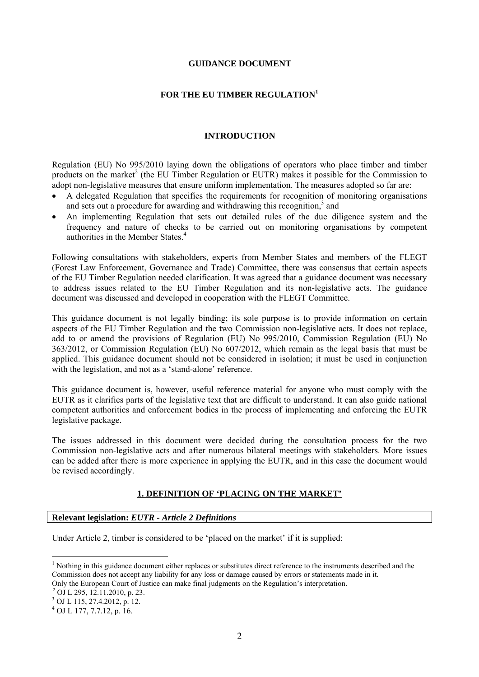#### **GUIDANCE DOCUMENT**

#### **FOR THE EU TIMBER REGULATION<sup>1</sup>**

#### **INTRODUCTION**

Regulation (EU) No 995/2010 laying down the obligations of operators who place timber and timber products on the market<sup>2</sup> (the EU Timber Regulation or EUTR) makes it possible for the Commission to adopt non-legislative measures that ensure uniform implementation. The measures adopted so far are:

- A delegated Regulation that specifies the requirements for recognition of monitoring organisations and sets out a procedure for awarding and withdrawing this recognition,<sup>3</sup> and
- <span id="page-1-0"></span>• An implementing Regulation that sets out detailed rules of the due diligence system and the frequency and nature of checks to be carried out on monitoring organisations by competent authorities in the Member States.<sup>4</sup>

Following consultations with stakeholders, experts from Member States and members of the FLEGT (Forest Law Enforcement, Governance and Trade) Committee, there was consensus that certain aspects of the EU Timber Regulation needed clarification. It was agreed that a guidance document was necessary to address issues related to the EU Timber Regulation and its non-legislative acts. The guidance document was discussed and developed in cooperation with the FLEGT Committee.

This guidance document is not legally binding; its sole purpose is to provide information on certain aspects of the EU Timber Regulation and the two Commission non-legislative acts. It does not replace, add to or amend the provisions of Regulation (EU) No 995/2010, Commission Regulation (EU) No 363/2012, or Commission Regulation (EU) No 607/2012, which remain as the legal basis that must be applied. This guidance document should not be considered in isolation; it must be used in conjunction with the legislation, and not as a 'stand-alone' reference.

This guidance document is, however, useful reference material for anyone who must comply with the EUTR as it clarifies parts of the legislative text that are difficult to understand. It can also guide national competent authorities and enforcement bodies in the process of implementing and enforcing the EUTR legislative package.

The issues addressed in this document were decided during the consultation process for the two Commission non-legislative acts and after numerous bilateral meetings with stakeholders. More issues can be added after there is more experience in applying the EUTR, and in this case the document would be revised accordingly.

#### **1. DEFINITION OF 'PLACING ON THE MARKET'**

#### **Relevant legislation:** *EUTR - Article 2 Definitions*

Under Article 2, timber is considered to be 'placed on the market' if it is supplied:

 $\overline{a}$ 

<sup>&</sup>lt;sup>1</sup> Nothing in this guidance document either replaces or substitutes direct reference to the instruments described and the Commission does not accept any liability for any loss or damage caused by errors or statements made in it. Only the European Court of Justice can make final judgments on the Regulation's interpretation.

<sup>2</sup> OJ L 295, 12.11.2010, p. 23.

<sup>3</sup> OJ L 115, 27.4.2012, p. 12.

 $^{4}$  OJ L 177, 7.7.12, p. 16.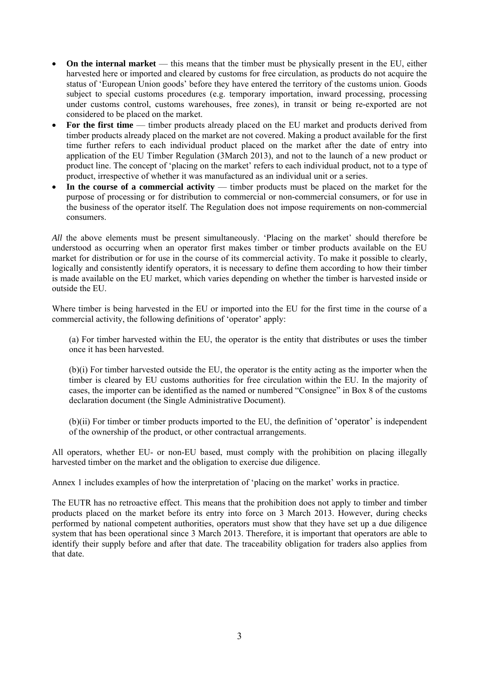- **On the internal market** this means that the timber must be physically present in the EU, either harvested here or imported and cleared by customs for free circulation, as products do not acquire the status of 'European Union goods' before they have entered the territory of the customs union. Goods subject to special customs procedures (e.g. temporary importation, inward processing, processing under customs control, customs warehouses, free zones), in transit or being re-exported are not considered to be placed on the market.
- For the first time timber products already placed on the EU market and products derived from timber products already placed on the market are not covered. Making a product available for the first time further refers to each individual product placed on the market after the date of entry into application of the EU Timber Regulation (3March 2013), and not to the launch of a new product or product line. The concept of 'placing on the market' refers to each individual product, not to a type of product, irrespective of whether it was manufactured as an individual unit or a series.
- In the course of a commercial activity timber products must be placed on the market for the purpose of processing or for distribution to commercial or non-commercial consumers, or for use in the business of the operator itself. The Regulation does not impose requirements on non-commercial consumers.

*All* the above elements must be present simultaneously. 'Placing on the market' should therefore be understood as occurring when an operator first makes timber or timber products available on the EU market for distribution or for use in the course of its commercial activity. To make it possible to clearly, logically and consistently identify operators, it is necessary to define them according to how their timber is made available on the EU market, which varies depending on whether the timber is harvested inside or outside the EU.

Where timber is being harvested in the EU or imported into the EU for the first time in the course of a commercial activity, the following definitions of 'operator' apply:

(a) For timber harvested within the EU, the operator is the entity that distributes or uses the timber once it has been harvested.

(b)(i) For timber harvested outside the EU, the operator is the entity acting as the importer when the timber is cleared by EU customs authorities for free circulation within the EU. In the majority of cases, the importer can be identified as the named or numbered "Consignee" in Box 8 of the customs declaration document (the Single Administrative Document).

(b)(ii) For timber or timber products imported to the EU, the definition of 'operator' is independent of the ownership of the product, or other contractual arrangements.

All operators, whether EU- or non-EU based, must comply with the prohibition on placing illegally harvested timber on the market and the obligation to exercise due diligence.

Annex 1 includes examples of how the interpretation of 'placing on the market' works in practice.

The EUTR has no retroactive effect. This means that the prohibition does not apply to timber and timber products placed on the market before its entry into force on 3 March 2013. However, during checks performed by national competent authorities, operators must show that they have set up a due diligence system that has been operational since 3 March 2013. Therefore, it is important that operators are able to identify their supply before and after that date. The traceability obligation for traders also applies from that date.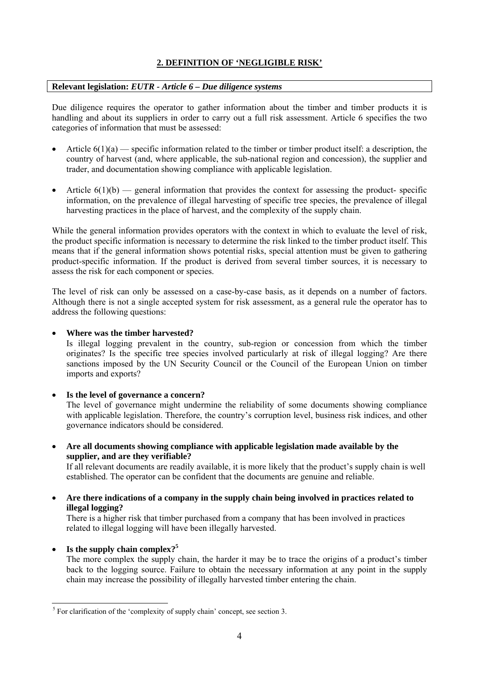## **2. DEFINITION OF 'NEGLIGIBLE RISK'**

## **Relevant legislation:** *EUTR - Article 6 – Due diligence systems*

Due diligence requires the operator to gather information about the timber and timber products it is handling and about its suppliers in order to carry out a full risk assessment. Article 6 specifies the two categories of information that must be assessed:

- Article  $6(1)(a)$  specific information related to the timber or timber product itself: a description, the country of harvest (and, where applicable, the sub-national region and concession), the supplier and trader, and documentation showing compliance with applicable legislation.
- Article  $6(1)(b)$  general information that provides the context for assessing the product-specific information, on the prevalence of illegal harvesting of specific tree species, the prevalence of illegal harvesting practices in the place of harvest, and the complexity of the supply chain.

While the general information provides operators with the context in which to evaluate the level of risk, the product specific information is necessary to determine the risk linked to the timber product itself. This means that if the general information shows potential risks, special attention must be given to gathering product-specific information. If the product is derived from several timber sources, it is necessary to assess the risk for each component or species.

The level of risk can only be assessed on a case-by-case basis, as it depends on a number of factors. Although there is not a single accepted system for risk assessment, as a general rule the operator has to address the following questions:

## • **Where was the timber harvested?**

Is illegal logging prevalent in the country, sub-region or concession from which the timber originates? Is the specific tree species involved particularly at risk of illegal logging? Are there sanctions imposed by the UN Security Council or the Council of the European Union on timber imports and exports?

• **Is the level of governance a concern?** 

The level of governance might undermine the reliability of some documents showing compliance with applicable legislation. Therefore, the country's corruption level, business risk indices, and other governance indicators should be considered.

• **Are all documents showing compliance with applicable legislation made available by the supplier, and are they verifiable?** 

If all relevant documents are readily available, it is more likely that the product's supply chain is well established. The operator can be confident that the documents are genuine and reliable.

• **Are there indications of a company in the supply chain being involved in practices related to illegal logging?** 

There is a higher risk that timber purchased from a company that has been involved in practices related to illegal logging will have been illegally harvested.

• **Is the supply chain complex[?](#page-1-0)<sup>5</sup>**

The more complex the supply chain, the harder it may be to trace the origins of a product's timber back to the logging source. Failure to obtain the necessary information at any point in the supply chain may increase the possibility of illegally harvested timber entering the chain.

<sup>&</sup>lt;sup>5</sup> For clarification of the 'complexity of supply chain' concept, see section 3.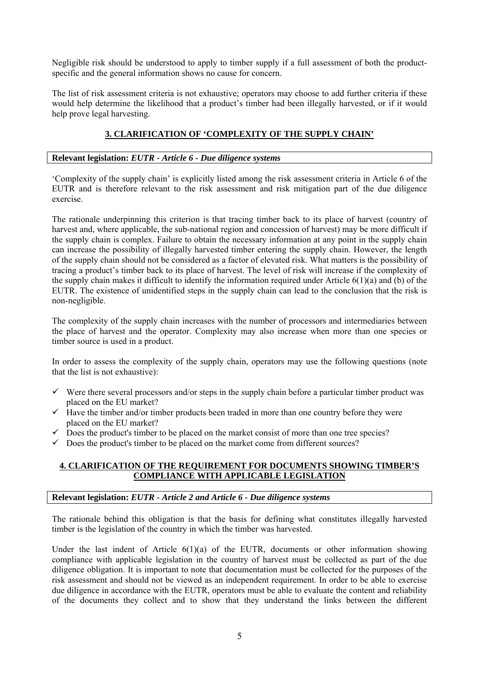Negligible risk should be understood to apply to timber supply if a full assessment of both the productspecific and the general information shows no cause for concern.

The list of risk assessment criteria is not exhaustive; operators may choose to add further criteria if these would help determine the likelihood that a product's timber had been illegally harvested, or if it would help prove legal harvesting.

## **3. CLARIFICATION OF 'COMPLEXITY OF THE SUPPLY CHAIN'**

## **Relevant legislation:** *EUTR - Article 6 - Due diligence systems*

'Complexity of the supply chain' is explicitly listed among the risk assessment criteria in Article 6 of the EUTR and is therefore relevant to the risk assessment and risk mitigation part of the due diligence exercise.

The rationale underpinning this criterion is that tracing timber back to its place of harvest (country of harvest and, where applicable, the sub-national region and concession of harvest) may be more difficult if the supply chain is complex. Failure to obtain the necessary information at any point in the supply chain can increase the possibility of illegally harvested timber entering the supply chain. However, the length of the supply chain should not be considered as a factor of elevated risk. What matters is the possibility of tracing a product's timber back to its place of harvest. The level of risk will increase if the complexity of the supply chain makes it difficult to identify the information required under Article 6(1)(a) and (b) of the EUTR. The existence of unidentified steps in the supply chain can lead to the conclusion that the risk is non-negligible.

The complexity of the supply chain increases with the number of processors and intermediaries between the place of harvest and the operator. Complexity may also increase when more than one species or timber source is used in a product.

In order to assess the complexity of the supply chain, operators may use the following questions (note that the list is not exhaustive):

- $\checkmark$  Were there several processors and/or steps in the supply chain before a particular timber product was placed on the EU market?
- $\checkmark$  Have the timber and/or timber products been traded in more than one country before they were placed on the EU market?
- $\checkmark$  Does the product's timber to be placed on the market consist of more than one tree species?
- $\checkmark$  Does the product's timber to be placed on the market come from different sources?

## **4. CLARIFICATION OF THE REQUIREMENT FOR DOCUMENTS SHOWING TIMBER'S COMPLIANCE WITH APPLICABLE LEGISLATION**

## **Relevant legislation:** *EUTR - Article 2 and Article 6 - Due diligence systems*

The rationale behind this obligation is that the basis for defining what constitutes illegally harvested timber is the legislation of the country in which the timber was harvested.

Under the last indent of Article  $6(1)(a)$  of the EUTR, documents or other information showing compliance with applicable legislation in the country of harvest must be collected as part of the due diligence obligation. It is important to note that documentation must be collected for the purposes of the risk assessment and should not be viewed as an independent requirement. In order to be able to exercise due diligence in accordance with the EUTR, operators must be able to evaluate the content and reliability of the documents they collect and to show that they understand the links between the different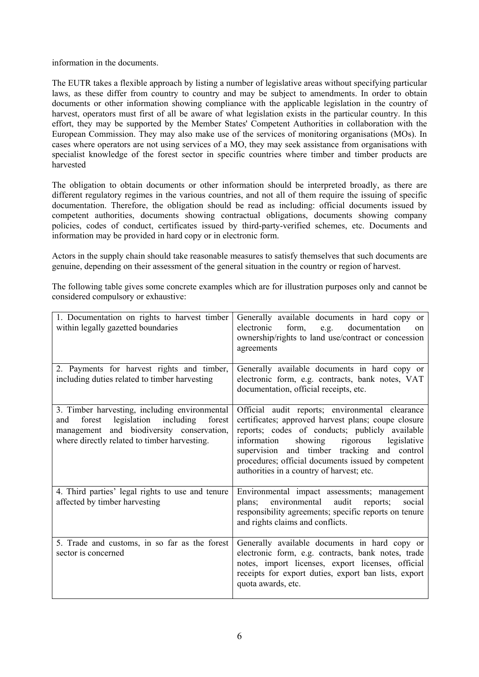information in the documents.

The EUTR takes a flexible approach by listing a number of legislative areas without specifying particular laws, as these differ from country to country and may be subject to amendments. In order to obtain documents or other information showing compliance with the applicable legislation in the country of harvest, operators must first of all be aware of what legislation exists in the particular country. In this effort, they may be supported by the Member States' Competent Authorities in collaboration with the European Commission. They may also make use of the services of monitoring organisations (MOs). In cases where operators are not using services of a MO, they may seek assistance from organisations with specialist knowledge of the forest sector in specific countries where timber and timber products are harvested

The obligation to obtain documents or other information should be interpreted broadly, as there are different regulatory regimes in the various countries, and not all of them require the issuing of specific documentation. Therefore, the obligation should be read as including: official documents issued by competent authorities, documents showing contractual obligations, documents showing company policies, codes of conduct, certificates issued by third-party-verified schemes, etc. Documents and information may be provided in hard copy or in electronic form.

Actors in the supply chain should take reasonable measures to satisfy themselves that such documents are genuine, depending on their assessment of the general situation in the country or region of harvest.

The following table gives some concrete examples which are for illustration purposes only and cannot be considered compulsory or exhaustive:

| 1. Documentation on rights to harvest timber<br>within legally gazetted boundaries                                                                                                             | Generally available documents in hard copy or<br>form,<br>electronic<br>documentation<br>e.g.<br>on<br>ownership/rights to land use/contract or concession<br>agreements                                                                                                                                                                                     |
|------------------------------------------------------------------------------------------------------------------------------------------------------------------------------------------------|--------------------------------------------------------------------------------------------------------------------------------------------------------------------------------------------------------------------------------------------------------------------------------------------------------------------------------------------------------------|
| 2. Payments for harvest rights and timber,<br>including duties related to timber harvesting                                                                                                    | Generally available documents in hard copy or<br>electronic form, e.g. contracts, bank notes, VAT<br>documentation, official receipts, etc.                                                                                                                                                                                                                  |
| 3. Timber harvesting, including environmental<br>legislation including<br>forest<br>forest<br>and<br>management and biodiversity conservation,<br>where directly related to timber harvesting. | Official audit reports; environmental clearance<br>certificates; approved harvest plans; coupe closure<br>reports; codes of conducts; publicly available<br>information<br>showing rigorous<br>legislative<br>supervision and timber tracking and control<br>procedures; official documents issued by competent<br>authorities in a country of harvest; etc. |
| 4. Third parties' legal rights to use and tenure<br>affected by timber harvesting                                                                                                              | Environmental impact assessments; management<br>environmental audit<br>plans;<br>reports;<br>social<br>responsibility agreements; specific reports on tenure<br>and rights claims and conflicts.                                                                                                                                                             |
| 5. Trade and customs, in so far as the forest<br>sector is concerned                                                                                                                           | Generally available documents in hard copy or<br>electronic form, e.g. contracts, bank notes, trade<br>notes, import licenses, export licenses, official<br>receipts for export duties, export ban lists, export<br>quota awards, etc.                                                                                                                       |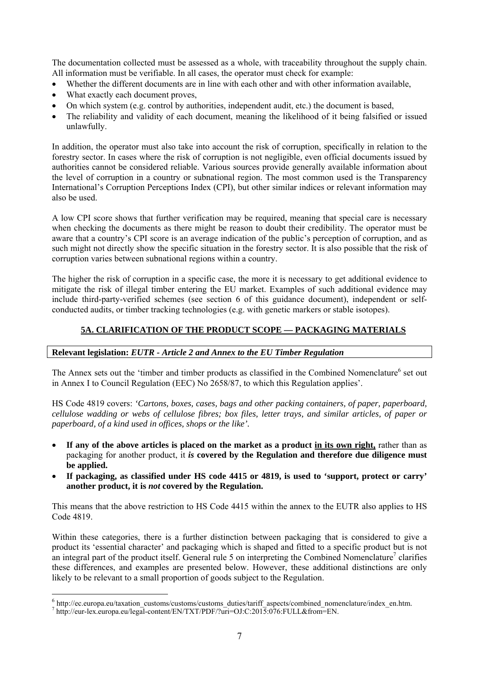The documentation collected must be assessed as a whole, with traceability throughout the supply chain. All information must be verifiable. In all cases, the operator must check for example:

- Whether the different documents are in line with each other and with other information available,
- What exactly each document proves,
- On which system (e.g. control by authorities, independent audit, etc.) the document is based,
- The reliability and validity of each document, meaning the likelihood of it being falsified or issued unlawfully.

In addition, the operator must also take into account the risk of corruption, specifically in relation to the forestry sector. In cases where the risk of corruption is not negligible, even official documents issued by authorities cannot be considered reliable. Various sources provide generally available information about the level of corruption in a country or subnational region. The most common used is the Transparency International's Corruption Perceptions Index (CPI), but other similar indices or relevant information may also be used.

A low CPI score shows that further verification may be required, meaning that special care is necessary when checking the documents as there might be reason to doubt their credibility. The operator must be aware that a country's CPI score is an average indication of the public's perception of corruption, and as such might not directly show the specific situation in the forestry sector. It is also possible that the risk of corruption varies between subnational regions within a country.

The higher the risk of corruption in a specific case, the more it is necessary to get additional evidence to mitigate the risk of illegal timber entering the EU market. Examples of such additional evidence may include third-party-verified schemes (see section 6 of this guidance document), independent or selfconducted audits, or timber tracking technologies (e.g. with genetic markers or stable isotopes).

## **5A. CLARIFICATION OF THE PRODUCT SCOPE — PACKAGING MATERIALS**

#### **Relevant legislation:** *EUTR - Article 2 and Annex to the EU Timber Regulation*

The Annex sets out the 'timber and timber products as classified in the Combined Nomenclature<sup>6</sup> set out in Annex I to Council Regulation (EEC) No 2658/87, to which this Regulation applies'.

HS Code 4819 covers: *'Cartons, boxes, cases, bags and other packing containers, of paper, paperboard, cellulose wadding or webs of cellulose fibres; box files, letter trays, and similar articles, of paper or paperboard, of a kind used in offices, shops or the like'.* 

- **If any of the above articles is placed on the market as a product in its own right,** rather than as packaging for another product, it *is* **covered by the Regulation and therefore due diligence must be applied.**
- **If packaging, as classified under HS code 4415 or 4819, is used to 'support, protect or carry' another product, it is** *not* **covered by the Regulation.**

This means that the above restriction to HS Code 4415 within the annex to the EUTR also applies to HS Code 4819.

Within these categories, there is a further distinction between packaging that is considered to give a product its 'essential character' and packaging which is shaped and fitted to a specific product but is not an integral part of the product itself. General rule 5 on interpreting the Combined Nomenclature<sup>7</sup> clarifies these differences, and examples are presented below. However, these additional distinctions are only likely to be relevant to a small proportion of goods subject to the Regulation.

 $\overline{a}$ 

 $6$  http://ec.europa.eu/taxation\_customs/customs/customs\_duties/tariff\_aspects/combined\_nomenclature/index\_en.htm.

http://eur-lex.europa.eu/legal-content/EN/TXT/PDF/?uri=OJ:C:2015:076:FULL&from=EN.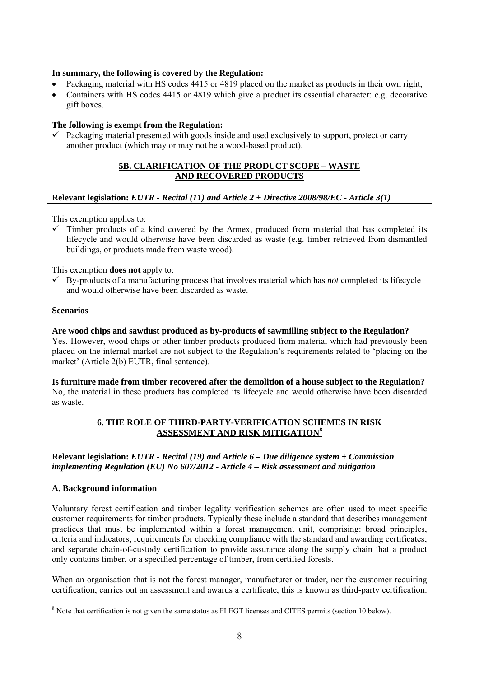## **In summary, the following is covered by the Regulation:**

- Packaging material with HS codes 4415 or 4819 placed on the market as products in their own right;
- Containers with HS codes 4415 or 4819 which give a product its essential character: e.g. decorative gift boxes.

## **The following is exempt from the Regulation:**

 $\checkmark$  Packaging material presented with goods inside and used exclusively to support, protect or carry another product (which may or may not be a wood-based product).

## **5B. CLARIFICATION OF THE PRODUCT SCOPE – WASTE AND RECOVERED PRODUCTS**

#### **Relevant legislation:** *EUTR - Recital (11) and Article 2 + Directive 2008/98/EC - Article 3(1)*

This exemption applies to:

 $\checkmark$  Timber products of a kind covered by the Annex, produced from material that has completed its lifecycle and would otherwise have been discarded as waste (e.g. timber retrieved from dismantled buildings, or products made from waste wood).

This exemption **does not** apply to:

 $\checkmark$  By-products of a manufacturing process that involves material which has *not* completed its lifecycle and would otherwise have been discarded as waste.

#### **Scenarios**

#### **Are wood chips and sawdust produced as by-products of sawmilling subject to the Regulation?**

Yes. However, wood chips or other timber products produced from material which had previously been placed on the internal market are not subject to the Regulation's requirements related to 'placing on the market' (Article 2(b) EUTR, final sentence).

**Is furniture made from timber recovered after the demolition of a house subject to the Regulation?**  No, the material in these products has completed its lifecycle and would otherwise have been discarded as waste.

## **6. THE ROLE OF THIRD-PARTY-VERIFICATION SCHEMES IN RISK ASSESSMENT AND RISK MITIGATION<sup>8</sup>**

**Relevant legislation:** *EUTR - Recital (19) and Article 6 – Due diligence system + Commission implementing Regulation (EU) No 607/2012 - Article 4 – Risk assessment and mitigation*

#### **A. Background information**

 $\overline{a}$ 

Voluntary forest certification and timber legality verification schemes are often used to meet specific customer requirements for timber products. Typically these include a standard that describes management practices that must be implemented within a forest management unit, comprising: broad principles, criteria and indicators; requirements for checking compliance with the standard and awarding certificates; and separate chain-of-custody certification to provide assurance along the supply chain that a product only contains timber, or a specified percentage of timber, from certified forests.

When an organisation that is not the forest manager, manufacturer or trader, nor the customer requiring certification, carries out an assessment and awards a certificate, this is known as third-party certification.

<sup>&</sup>lt;sup>8</sup> Note that certification is not given the same status as FLEGT licenses and CITES permits (section 10 below).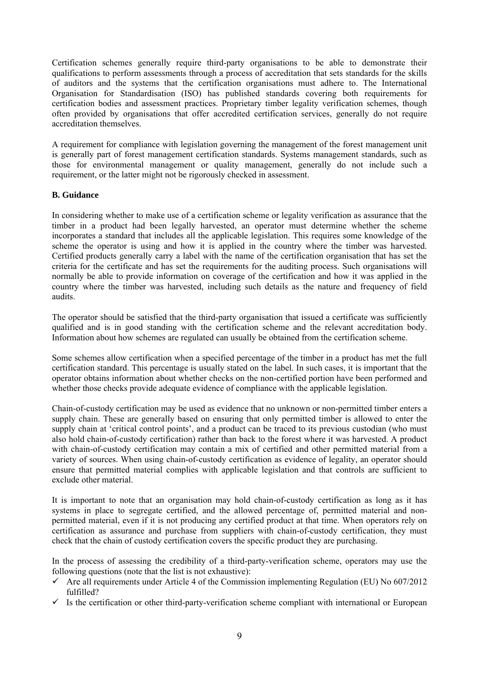Certification schemes generally require third-party organisations to be able to demonstrate their qualifications to perform assessments through a process of accreditation that sets standards for the skills of auditors and the systems that the certification organisations must adhere to. The International Organisation for Standardisation (ISO) has published standards covering both requirements for certification bodies and assessment practices. Proprietary timber legality verification schemes, though often provided by organisations that offer accredited certification services, generally do not require accreditation themselves.

A requirement for compliance with legislation governing the management of the forest management unit is generally part of forest management certification standards. Systems management standards, such as those for environmental management or quality management, generally do not include such a requirement, or the latter might not be rigorously checked in assessment.

## **B. Guidance**

In considering whether to make use of a certification scheme or legality verification as assurance that the timber in a product had been legally harvested, an operator must determine whether the scheme incorporates a standard that includes all the applicable legislation. This requires some knowledge of the scheme the operator is using and how it is applied in the country where the timber was harvested. Certified products generally carry a label with the name of the certification organisation that has set the criteria for the certificate and has set the requirements for the auditing process. Such organisations will normally be able to provide information on coverage of the certification and how it was applied in the country where the timber was harvested, including such details as the nature and frequency of field audits.

The operator should be satisfied that the third-party organisation that issued a certificate was sufficiently qualified and is in good standing with the certification scheme and the relevant accreditation body. Information about how schemes are regulated can usually be obtained from the certification scheme.

Some schemes allow certification when a specified percentage of the timber in a product has met the full certification standard. This percentage is usually stated on the label. In such cases, it is important that the operator obtains information about whether checks on the non-certified portion have been performed and whether those checks provide adequate evidence of compliance with the applicable legislation.

Chain-of-custody certification may be used as evidence that no unknown or non-permitted timber enters a supply chain. These are generally based on ensuring that only permitted timber is allowed to enter the supply chain at 'critical control points', and a product can be traced to its previous custodian (who must also hold chain-of-custody certification) rather than back to the forest where it was harvested. A product with chain-of-custody certification may contain a mix of certified and other permitted material from a variety of sources. When using chain-of-custody certification as evidence of legality, an operator should ensure that permitted material complies with applicable legislation and that controls are sufficient to exclude other material.

It is important to note that an organisation may hold chain-of-custody certification as long as it has systems in place to segregate certified, and the allowed percentage of, permitted material and nonpermitted material, even if it is not producing any certified product at that time. When operators rely on certification as assurance and purchase from suppliers with chain-of-custody certification, they must check that the chain of custody certification covers the specific product they are purchasing.

In the process of assessing the credibility of a third-party-verification scheme, operators may use the following questions (note that the list is not exhaustive):

- $\checkmark$  Are all requirements under Article 4 of the Commission implementing Regulation (EU) No 607/2012 fulfilled?
- $\checkmark$  Is the certification or other third-party-verification scheme compliant with international or European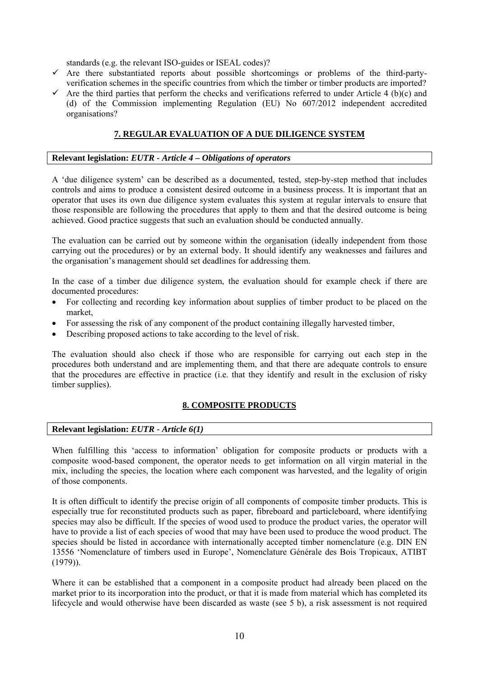standards (e.g. the relevant ISO-guides or ISEAL codes)?

- $\checkmark$  Are there substantiated reports about possible shortcomings or problems of the third-partyverification schemes in the specific countries from which the timber or timber products are imported?
- $\checkmark$  Are the third parties that perform the checks and verifications referred to under Article 4 (b)(c) and (d) of the Commission implementing Regulation (EU) No 607/2012 independent accredited organisations?

## **7. REGULAR EVALUATION OF A DUE DILIGENCE SYSTEM**

### **Relevant legislation:** *EUTR - Article 4 – Obligations of operators*

A 'due diligence system' can be described as a documented, tested, step-by-step method that includes controls and aims to produce a consistent desired outcome in a business process. It is important that an operator that uses its own due diligence system evaluates this system at regular intervals to ensure that those responsible are following the procedures that apply to them and that the desired outcome is being achieved. Good practice suggests that such an evaluation should be conducted annually.

The evaluation can be carried out by someone within the organisation (ideally independent from those carrying out the procedures) or by an external body. It should identify any weaknesses and failures and the organisation's management should set deadlines for addressing them.

In the case of a timber due diligence system, the evaluation should for example check if there are documented procedures:

- For collecting and recording key information about supplies of timber product to be placed on the market,
- For assessing the risk of any component of the product containing illegally harvested timber,
- Describing proposed actions to take according to the level of risk.

The evaluation should also check if those who are responsible for carrying out each step in the procedures both understand and are implementing them, and that there are adequate controls to ensure that the procedures are effective in practice (i.e. that they identify and result in the exclusion of risky timber supplies).

## **8. COMPOSITE PRODUCTS**

#### **Relevant legislation:** *EUTR - Article 6(1)*

When fulfilling this 'access to information' obligation for composite products or products with a composite wood-based component, the operator needs to get information on all virgin material in the mix, including the species, the location where each component was harvested, and the legality of origin of those components.

It is often difficult to identify the precise origin of all components of composite timber products. This is especially true for reconstituted products such as paper, fibreboard and particleboard, where identifying species may also be difficult. If the species of wood used to produce the product varies, the operator will have to provide a list of each species of wood that may have been used to produce the wood product. The species should be listed in accordance with internationally accepted timber nomenclature (e.g. DIN EN 13556 'Nomenclature of timbers used in Europe', Nomenclature Générale des Bois Tropicaux, ATIBT (1979)).

Where it can be established that a component in a composite product had already been placed on the market prior to its incorporation into the product, or that it is made from material which has completed its lifecycle and would otherwise have been discarded as waste (see 5 b), a risk assessment is not required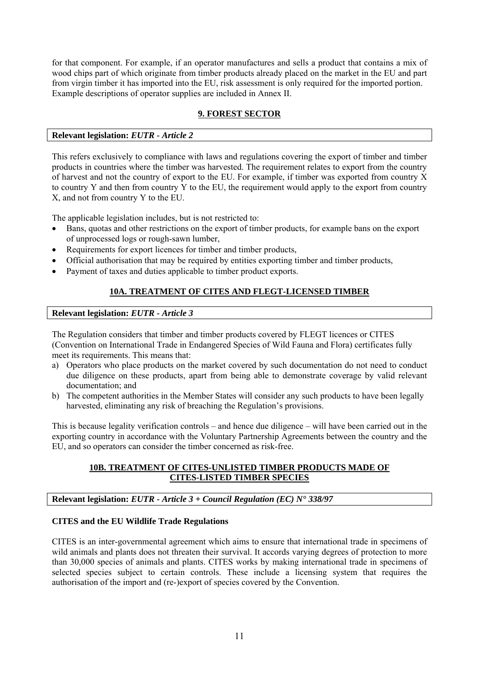for that component. For example, if an operator manufactures and sells a product that contains a mix of wood chips part of which originate from timber products already placed on the market in the EU and part from virgin timber it has imported into the EU, risk assessment is only required for the imported portion. Example descriptions of operator supplies are included in Annex II.

## **9. FOREST SECTOR**

## **Relevant legislation:** *EUTR - Article 2*

This refers exclusively to compliance with laws and regulations covering the export of timber and timber products in countries where the timber was harvested. The requirement relates to export from the country of harvest and not the country of export to the EU. For example, if timber was exported from country X to country Y and then from country Y to the EU, the requirement would apply to the export from country X, and not from country Y to the EU.

The applicable legislation includes, but is not restricted to:

- Bans, quotas and other restrictions on the export of timber products, for example bans on the export of unprocessed logs or rough-sawn lumber,
- Requirements for export licences for timber and timber products,
- Official authorisation that may be required by entities exporting timber and timber products,
- Payment of taxes and duties applicable to timber product exports.

## **10A. TREATMENT OF CITES AND FLEGT-LICENSED TIMBER**

**Relevant legislation:** *EUTR - Article 3* 

The Regulation considers that timber and timber products covered by FLEGT licences or CITES (Convention on International Trade in Endangered Species of Wild Fauna and Flora) certificates fully meet its requirements. This means that:

- a) Operators who place products on the market covered by such documentation do not need to conduct due diligence on these products, apart from being able to demonstrate coverage by valid relevant documentation; and
- b) The competent authorities in the Member States will consider any such products to have been legally harvested, eliminating any risk of breaching the Regulation's provisions.

This is because legality verification controls – and hence due diligence – will have been carried out in the exporting country in accordance with the Voluntary Partnership Agreements between the country and the EU, and so operators can consider the timber concerned as risk-free.

## **10B. TREATMENT OF CITES-UNLISTED TIMBER PRODUCTS MADE OF CITES-LISTED TIMBER SPECIES**

## **Relevant legislation:** *EUTR - Article 3 + Council Regulation (EC) N° 338/97*

#### **CITES and the EU Wildlife Trade Regulations**

CITES is an inter-governmental agreement which aims to ensure that international trade in specimens of wild animals and plants does not threaten their survival. It accords varying degrees of protection to more than 30,000 species of animals and plants. CITES works by making international trade in specimens of selected species subject to certain controls. These include a licensing system that requires the authorisation of the import and (re-)export of species covered by the Convention.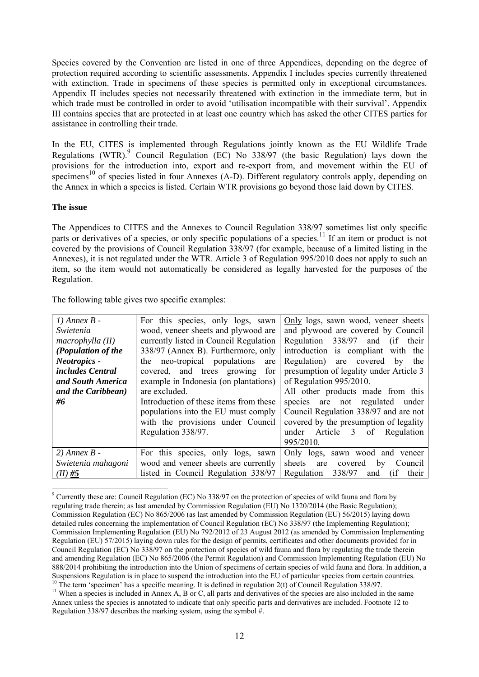Species covered by the Convention are listed in one of three Appendices, depending on the degree of protection required according to scientific assessments. Appendix I includes species currently threatened with extinction. Trade in specimens of these species is permitted only in exceptional circumstances. Appendix II includes species not necessarily threatened with extinction in the immediate term, but in which trade must be controlled in order to avoid 'utilisation incompatible with their survival'. Appendix III contains species that are protected in at least one country which has asked the other CITES parties for assistance in controlling their trade.

In the EU, CITES is implemented through Regulations jointly known as the EU Wildlife Trade Regulations (WTR).<sup>9</sup> Council Regulation (EC) No 338/97 (the basic Regulation) lays down the provisions for the introduction into, export and re-export from, and movement within the EU of specimens<sup>10</sup> of species listed in four Annexes (A-D). Different regulatory controls apply, depending on the Annex in which a species is listed. Certain WTR provisions go beyond those laid down by CITES.

#### **The issue**

The Appendices to CITES and the Annexes to Council Regulation 338/97 sometimes list only specific parts or derivatives of a species, or only specific populations of a species.<sup>11</sup> If an item or product is not covered by the provisions of Council Regulation 338/97 (for example, because of a limited listing in the Annexes), it is not regulated under the WTR. Article 3 of Regulation 995/2010 does not apply to such an item, so the item would not automatically be considered as legally harvested for the purposes of the Regulation.

The following table gives two specific examples:

| $1)$ Annex $B -$   | For this species, only logs, sawn      | Only logs, sawn wood, veneer sheets         |
|--------------------|----------------------------------------|---------------------------------------------|
| Swietenia          | wood, veneer sheets and plywood are    | and plywood are covered by Council          |
| macrophylla (II)   | currently listed in Council Regulation | Regulation 338/97 and (if their             |
| (Population of the | 338/97 (Annex B). Furthermore, only    | introduction is compliant with the          |
| Neotropics -       | the neo-tropical populations<br>are    | Regulation)<br>are covered by<br>the        |
| includes Central   | covered, and trees growing<br>for      | presumption of legality under Article 3     |
| and South America  | example in Indonesia (on plantations)  | of Regulation 995/2010.                     |
| and the Caribbean) | are excluded.                          | All other products made from this           |
| #6                 | Introduction of these items from these | species are not regulated under             |
|                    | populations into the EU must comply    | Council Regulation 338/97 and are not       |
|                    | with the provisions under Council      | covered by the presumption of legality      |
|                    | Regulation 338/97.                     | under Article 3 of Regulation               |
|                    |                                        | 995/2010.                                   |
| $2)$ Annex $B -$   | For this species, only logs, sawn      | Only logs, sawn wood and veneer             |
| Swietenia mahagoni | wood and veneer sheets are currently   | sheets are<br>covered<br>Council<br>by      |
| $(II)$ #5          | listed in Council Regulation 338/97    | 338/97<br>Regulation<br>their<br>(if<br>and |

 $\overline{a}$  $9$  Currently these are: Council Regulation (EC) No 338/97 on the protection of species of wild fauna and flora by regulating trade therein; as last amended by Commission Regulation (EU) No 1320/2014 (the Basic Regulation); Commission Regulation (EC) No 865/2006 (as last amended by Commission Regulation (EU) 56/2015) laying down detailed rules concerning the implementation of Council Regulation (EC) No 338/97 (the Implementing Regulation); Commission Implementing Regulation (EU) No 792/2012 of 23 August 2012 (as amended by Commission Implementing Regulation (EU) 57/2015) laying down rules for the design of permits, certificates and other documents provided for in Council Regulation (EC) No 338/97 on the protection of species of wild fauna and flora by regulating the trade therein and amending Regulation (EC) No 865/2006 (the Permit Regulation) and Commission Implementing Regulation (EU) No 888/2014 prohibiting the introduction into the Union of specimens of certain species of wild fauna and flora. In addition, a Suspensions Regulation is in place to suspend the introduction into the EU of particular species from certain countries.<br><sup>10</sup> The term 'specimen' has a specific meaning. It is defined in regulation  $2(t)$  of Council Regula

<sup>&</sup>lt;sup>11</sup> When a species is included in Annex A, B or C, all parts and derivatives of the species are also included in the same Annex unless the species is annotated to indicate that only specific parts and derivatives are included. Footnote 12 to Regulation 338/97 describes the marking system, using the symbol #.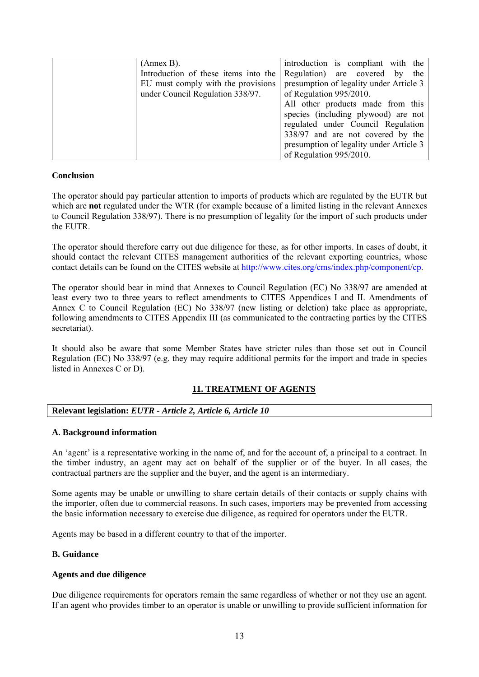| (Annex B).                           | introduction is compliant with the      |
|--------------------------------------|-----------------------------------------|
| Introduction of these items into the | Regulation) are covered by<br>the       |
| EU must comply with the provisions   | presumption of legality under Article 3 |
| under Council Regulation 338/97.     | of Regulation 995/2010.                 |
|                                      | All other products made from this       |
|                                      | species (including plywood) are not     |
|                                      | regulated under Council Regulation      |
|                                      | 338/97 and are not covered by the       |
|                                      | presumption of legality under Article 3 |
|                                      | of Regulation 995/2010.                 |

#### **Conclusion**

The operator should pay particular attention to imports of products which are regulated by the EUTR but which are **not** regulated under the WTR (for example because of a limited listing in the relevant Annexes to Council Regulation 338/97). There is no presumption of legality for the import of such products under the EUTR.

The operator should therefore carry out due diligence for these, as for other imports. In cases of doubt, it should contact the relevant CITES management authorities of the relevant exporting countries, whose contact details can be found on the CITES website at [http://www.cites.org/cms/index.php/component/cp.](http://www.cites.org/cms/index.php/component/cp) 

The operator should bear in mind that Annexes to Council Regulation (EC) No 338/97 are amended at least every two to three years to reflect amendments to CITES Appendices I and II. Amendments of Annex C to Council Regulation (EC) No 338/97 (new listing or deletion) take place as appropriate, following amendments to CITES Appendix III (as communicated to the contracting parties by the CITES secretariat).

It should also be aware that some Member States have stricter rules than those set out in Council Regulation (EC) No 338/97 (e.g. they may require additional permits for the import and trade in species listed in Annexes C or D).

## **11. TREATMENT OF AGENTS**

## **Relevant legislation:** *EUTR - Article 2, Article 6, Article 10*

#### **A. Background information**

An 'agent' is a representative working in the name of, and for the account of, a principal to a contract. In the timber industry, an agent may act on behalf of the supplier or of the buyer. In all cases, the contractual partners are the supplier and the buyer, and the agent is an intermediary.

Some agents may be unable or unwilling to share certain details of their contacts or supply chains with the importer, often due to commercial reasons. In such cases, importers may be prevented from accessing the basic information necessary to exercise due diligence, as required for operators under the EUTR.

Agents may be based in a different country to that of the importer.

#### **B. Guidance**

## **Agents and due diligence**

Due diligence requirements for operators remain the same regardless of whether or not they use an agent. If an agent who provides timber to an operator is unable or unwilling to provide sufficient information for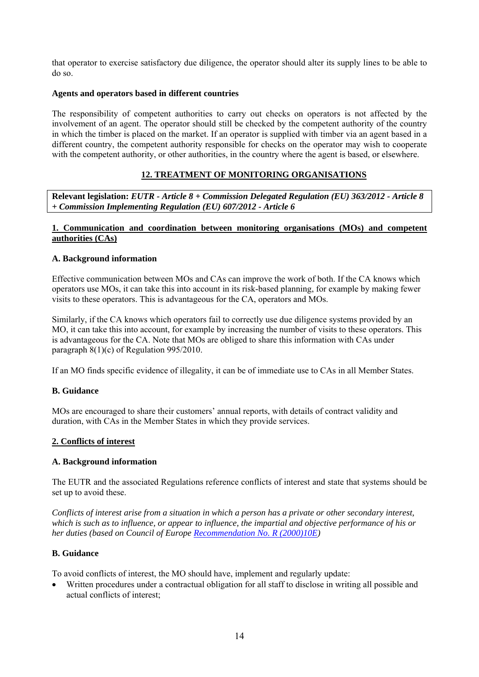that operator to exercise satisfactory due diligence, the operator should alter its supply lines to be able to do so.

## **Agents and operators based in different countries**

The responsibility of competent authorities to carry out checks on operators is not affected by the involvement of an agent. The operator should still be checked by the competent authority of the country in which the timber is placed on the market. If an operator is supplied with timber via an agent based in a different country, the competent authority responsible for checks on the operator may wish to cooperate with the competent authority, or other authorities, in the country where the agent is based, or elsewhere.

## **12. TREATMENT OF MONITORING ORGANISATIONS**

## **Relevant legislation:** *EUTR - Article 8 + Commission Delegated Regulation (EU) 363/2012 - Article 8 + Commission Implementing Regulation (EU) 607/2012 - Article 6*

## **1. Communication and coordination between monitoring organisations (MOs) and competent authorities (CAs)**

## **A. Background information**

Effective communication between MOs and CAs can improve the work of both. If the CA knows which operators use MOs, it can take this into account in its risk-based planning, for example by making fewer visits to these operators. This is advantageous for the CA, operators and MOs.

Similarly, if the CA knows which operators fail to correctly use due diligence systems provided by an MO, it can take this into account, for example by increasing the number of visits to these operators. This is advantageous for the CA. Note that MOs are obliged to share this information with CAs under paragraph 8(1)(c) of Regulation 995/2010.

If an MO finds specific evidence of illegality, it can be of immediate use to CAs in all Member States.

#### **B. Guidance**

MOs are encouraged to share their customers' annual reports, with details of contract validity and duration, with CAs in the Member States in which they provide services.

#### **2. Conflicts of interest**

#### **A. Background information**

The EUTR and the associated Regulations reference conflicts of interest and state that systems should be set up to avoid these.

*Conflicts of interest arise from a situation in which a person has a private or other secondary interest, which is such as to influence, or appear to influence, the impartial and objective performance of his or her duties (based on Council of Europe [Recommendation No. R \(2000\)10E\)](https://wcd.coe.int/ViewDoc.jsp?id=353945)* 

#### **B. Guidance**

To avoid conflicts of interest, the MO should have, implement and regularly update:

• Written procedures under a contractual obligation for all staff to disclose in writing all possible and actual conflicts of interest;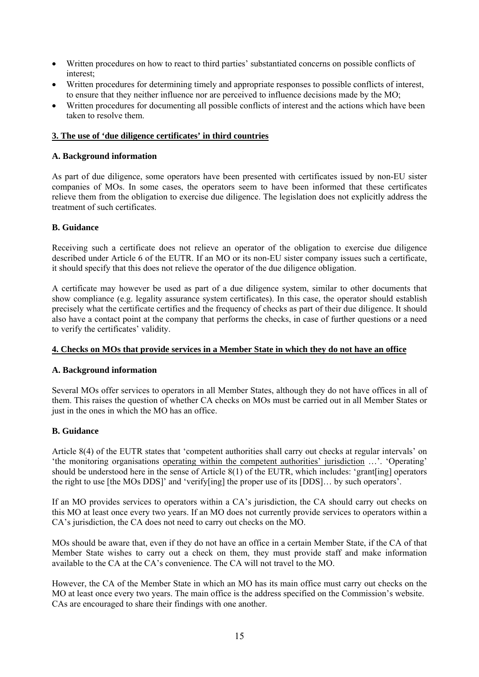- Written procedures on how to react to third parties' substantiated concerns on possible conflicts of interest;
- Written procedures for determining timely and appropriate responses to possible conflicts of interest, to ensure that they neither influence nor are perceived to influence decisions made by the MO;
- Written procedures for documenting all possible conflicts of interest and the actions which have been taken to resolve them.

### **3. The use of 'due diligence certificates' in third countries**

## **A. Background information**

As part of due diligence, some operators have been presented with certificates issued by non-EU sister companies of MOs. In some cases, the operators seem to have been informed that these certificates relieve them from the obligation to exercise due diligence. The legislation does not explicitly address the treatment of such certificates.

## **B. Guidance**

Receiving such a certificate does not relieve an operator of the obligation to exercise due diligence described under Article 6 of the EUTR. If an MO or its non-EU sister company issues such a certificate, it should specify that this does not relieve the operator of the due diligence obligation.

A certificate may however be used as part of a due diligence system, similar to other documents that show compliance (e.g. legality assurance system certificates). In this case, the operator should establish precisely what the certificate certifies and the frequency of checks as part of their due diligence. It should also have a contact point at the company that performs the checks, in case of further questions or a need to verify the certificates' validity.

## **4. Checks on MOs that provide services in a Member State in which they do not have an office**

## **A. Background information**

Several MOs offer services to operators in all Member States, although they do not have offices in all of them. This raises the question of whether CA checks on MOs must be carried out in all Member States or just in the ones in which the MO has an office.

## **B. Guidance**

Article 8(4) of the EUTR states that 'competent authorities shall carry out checks at regular intervals' on 'the monitoring organisations operating within the competent authorities' jurisdiction …'. 'Operating' should be understood here in the sense of Article 8(1) of the EUTR, which includes: 'grant[ing] operators the right to use [the MOs DDS]' and 'verify[ing] the proper use of its [DDS]… by such operators'.

If an MO provides services to operators within a CA's jurisdiction, the CA should carry out checks on this MO at least once every two years. If an MO does not currently provide services to operators within a CA's jurisdiction, the CA does not need to carry out checks on the MO.

MOs should be aware that, even if they do not have an office in a certain Member State, if the CA of that Member State wishes to carry out a check on them, they must provide staff and make information available to the CA at the CA's convenience. The CA will not travel to the MO.

However, the CA of the Member State in which an MO has its main office must carry out checks on the MO at least once every two years. The main office is the address specified on the Commission's website. CAs are encouraged to share their findings with one another.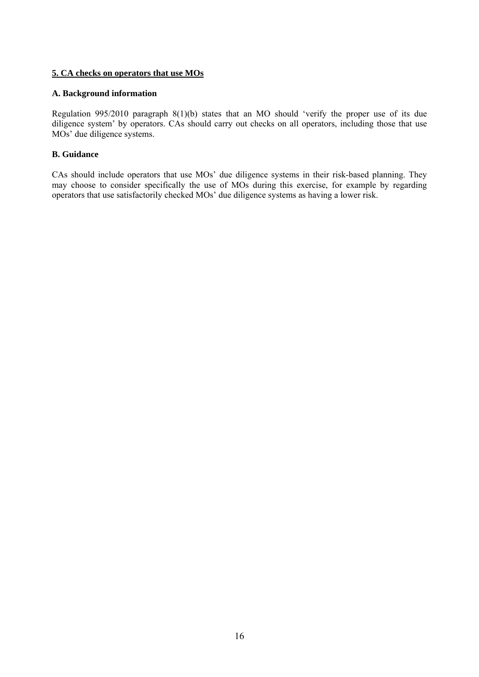## **5. CA checks on operators that use MOs**

## **A. Background information**

Regulation 995/2010 paragraph 8(1)(b) states that an MO should 'verify the proper use of its due diligence system' by operators. CAs should carry out checks on all operators, including those that use MOs' due diligence systems.

## **B. Guidance**

CAs should include operators that use MOs' due diligence systems in their risk-based planning. They may choose to consider specifically the use of MOs during this exercise, for example by regarding operators that use satisfactorily checked MOs' due diligence systems as having a lower risk.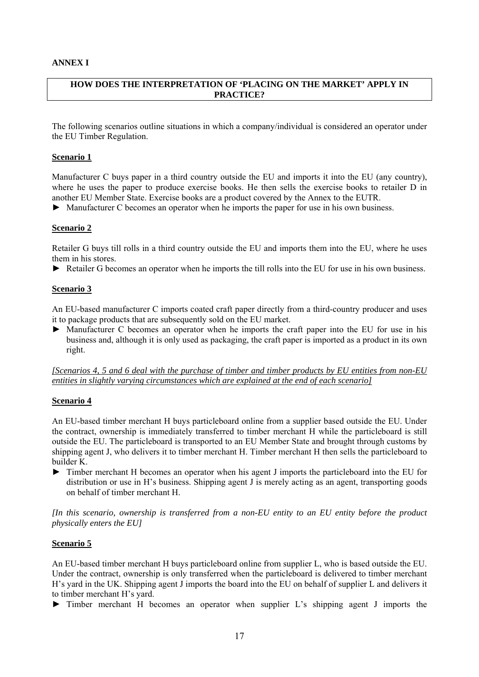## **ANNEX I**

## **HOW DOES THE INTERPRETATION OF 'PLACING ON THE MARKET' APPLY IN PRACTICE?**

The following scenarios outline situations in which a company/individual is considered an operator under the EU Timber Regulation.

#### **Scenario 1**

Manufacturer C buys paper in a third country outside the EU and imports it into the EU (any country), where he uses the paper to produce exercise books. He then sells the exercise books to retailer D in another EU Member State. Exercise books are a product covered by the Annex to the EUTR.

► Manufacturer C becomes an operator when he imports the paper for use in his own business.

#### **Scenario 2**

Retailer G buys till rolls in a third country outside the EU and imports them into the EU, where he uses them in his stores.

► Retailer G becomes an operator when he imports the till rolls into the EU for use in his own business.

#### **Scenario 3**

An EU-based manufacturer C imports coated craft paper directly from a third-country producer and uses it to package products that are subsequently sold on the EU market.

► Manufacturer C becomes an operator when he imports the craft paper into the EU for use in his business and, although it is only used as packaging, the craft paper is imported as a product in its own right.

*[Scenarios 4, 5 and 6 deal with the purchase of timber and timber products by EU entities from non-EU entities in slightly varying circumstances which are explained at the end of each scenario]*

#### **Scenario 4**

An EU-based timber merchant H buys particleboard online from a supplier based outside the EU. Under the contract, ownership is immediately transferred to timber merchant H while the particleboard is still outside the EU. The particleboard is transported to an EU Member State and brought through customs by shipping agent J, who delivers it to timber merchant H. Timber merchant H then sells the particleboard to builder K.

► Timber merchant H becomes an operator when his agent J imports the particleboard into the EU for distribution or use in H's business. Shipping agent J is merely acting as an agent, transporting goods on behalf of timber merchant H.

*[In this scenario, ownership is transferred from a non-EU entity to an EU entity before the product physically enters the EU]* 

#### **Scenario 5**

An EU-based timber merchant H buys particleboard online from supplier L, who is based outside the EU. Under the contract, ownership is only transferred when the particleboard is delivered to timber merchant H's yard in the UK. Shipping agent J imports the board into the EU on behalf of supplier L and delivers it to timber merchant H's yard.

► Timber merchant H becomes an operator when supplier L's shipping agent J imports the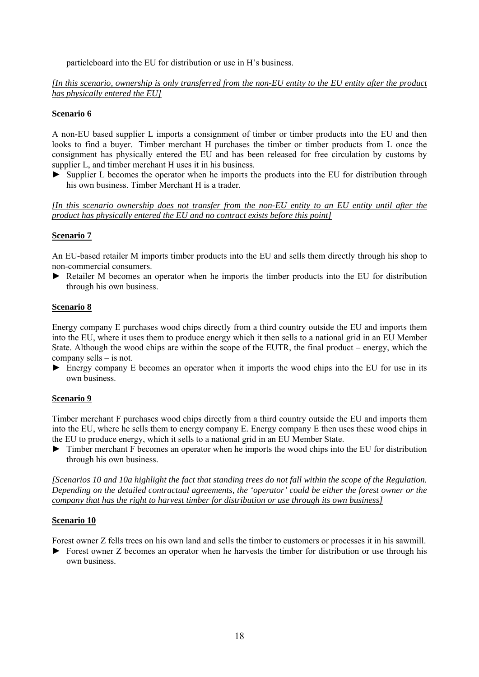particleboard into the EU for distribution or use in H's business.

*[In this scenario, ownership is only transferred from the non-EU entity to the EU entity after the product has physically entered the EU]*

### **Scenario 6**

A non-EU based supplier L imports a consignment of timber or timber products into the EU and then looks to find a buyer. Timber merchant H purchases the timber or timber products from L once the consignment has physically entered the EU and has been released for free circulation by customs by supplier L, and timber merchant H uses it in his business.

► Supplier L becomes the operator when he imports the products into the EU for distribution through his own business. Timber Merchant H is a trader.

*[In this scenario ownership does not transfer from the non-EU entity to an EU entity until after the product has physically entered the EU and no contract exists before this point]* 

## **Scenario 7**

An EU-based retailer M imports timber products into the EU and sells them directly through his shop to non-commercial consumers.

► Retailer M becomes an operator when he imports the timber products into the EU for distribution through his own business.

#### **Scenario 8**

Energy company E purchases wood chips directly from a third country outside the EU and imports them into the EU, where it uses them to produce energy which it then sells to a national grid in an EU Member State. Although the wood chips are within the scope of the EUTR, the final product – energy, which the company sells – is not.

► Energy company E becomes an operator when it imports the wood chips into the EU for use in its own business.

#### **Scenario 9**

Timber merchant F purchases wood chips directly from a third country outside the EU and imports them into the EU, where he sells them to energy company E. Energy company E then uses these wood chips in the EU to produce energy, which it sells to a national grid in an EU Member State.

► Timber merchant F becomes an operator when he imports the wood chips into the EU for distribution through his own business.

*[Scenarios 10 and 10a highlight the fact that standing trees do not fall within the scope of the Regulation. Depending on the detailed contractual agreements, the 'operator' could be either the forest owner or the company that has the right to harvest timber for distribution or use through its own business]*

#### **Scenario 10**

Forest owner Z fells trees on his own land and sells the timber to customers or processes it in his sawmill.

► Forest owner Z becomes an operator when he harvests the timber for distribution or use through his own business.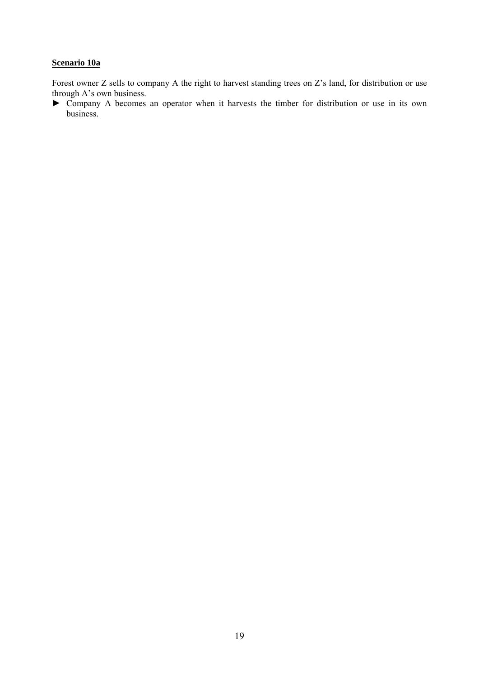## **Scenario 10a**

Forest owner Z sells to company A the right to harvest standing trees on Z's land, for distribution or use through A's own business.

► Company A becomes an operator when it harvests the timber for distribution or use in its own business.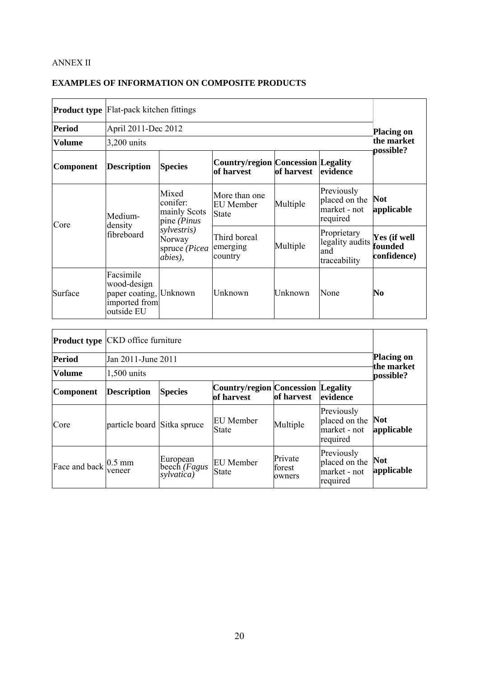## ANNEX II

| <b>EXAMPLES OF INFORMATION ON COMPOSITE PRODUCTS</b> |  |  |  |  |  |  |  |
|------------------------------------------------------|--|--|--|--|--|--|--|
|------------------------------------------------------|--|--|--|--|--|--|--|

|               |                                                                                   | <b>Product type</b> Flat-pack kitchen fittings                                                             |                                            |          |                                                         |                                        |  |  |
|---------------|-----------------------------------------------------------------------------------|------------------------------------------------------------------------------------------------------------|--------------------------------------------|----------|---------------------------------------------------------|----------------------------------------|--|--|
| <b>Period</b> | April 2011-Dec 2012                                                               |                                                                                                            |                                            |          |                                                         | <b>Placing on</b>                      |  |  |
| <b>Volume</b> | $3,200$ units                                                                     |                                                                                                            |                                            |          |                                                         | the market<br>possible?                |  |  |
| Component     | <b>Description</b>                                                                | <b>Country/region Concession Legality</b><br><b>Species</b><br><b>of harvest</b><br>of harvest<br>evidence |                                            |          |                                                         |                                        |  |  |
| Core          | Medium-<br>density<br>fibreboard                                                  | Mixed<br>conifer:<br>mainly Scots<br>pine (Pinus<br>sylvestris)<br>Norway<br>spruce (Picea<br>abies),      | More than one<br>EU Member<br><b>State</b> | Multiple | Previously<br>placed on the<br>market - not<br>required | <b>Not</b><br>applicable               |  |  |
|               |                                                                                   |                                                                                                            | Third boreal<br>emerging<br>country        | Multiple | Proprietary<br>legality audits<br>and<br>traceability   | Yes (if well<br>founded<br>confidence) |  |  |
| Surface       | Facsimile<br>wood-design<br>paper coating, Unknown<br>imported from<br>outside EU |                                                                                                            | Unknown                                    | Unknown  | None                                                    | No                                     |  |  |

| <b>Period</b>                               | Product type CKD office furniture<br>Jan 2011-June 2011 |                                                                                                     |                                  |                             |                                                         | <b>Placing on</b>        |  |
|---------------------------------------------|---------------------------------------------------------|-----------------------------------------------------------------------------------------------------|----------------------------------|-----------------------------|---------------------------------------------------------|--------------------------|--|
| <b>Volume</b>                               | $1,500$ units                                           |                                                                                                     |                                  |                             |                                                         | the market<br>possible?  |  |
| <b>Component</b>                            | <b>Description</b>                                      | <b>Country/region Concession Legality</b><br><b>Species</b><br>of harvest<br>of harvest<br>evidence |                                  |                             |                                                         |                          |  |
| Core                                        | particle board Sitka spruce                             |                                                                                                     | <b>EU</b> Member<br><b>State</b> | Multiple                    | Previously<br>placed on the<br>market - not<br>required | <b>Not</b><br>applicable |  |
| Face and back $\int_{\frac{1}{2}}^{0.5}$ mm | veneer                                                  | European<br>beech ( <i>Fagus</i><br>sylvatica)                                                      | EU Member<br>State               | Private<br>forest<br>owners | Previously<br>placed on the<br>market - not<br>required | <b>Not</b><br>applicable |  |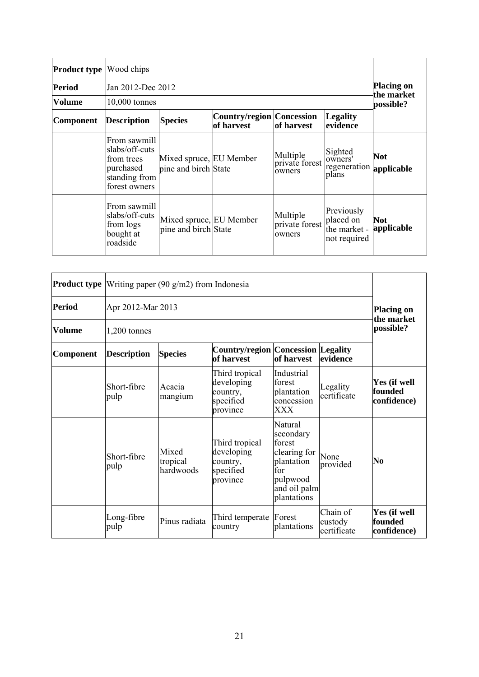| <b>Product type Wood chips</b> |                                                                                             |                                                                                                               |  |                                      |                                                         |                          |  |
|--------------------------------|---------------------------------------------------------------------------------------------|---------------------------------------------------------------------------------------------------------------|--|--------------------------------------|---------------------------------------------------------|--------------------------|--|
| <b>Period</b>                  | Jan 2012-Dec 2012                                                                           |                                                                                                               |  |                                      |                                                         | <b>Placing on</b>        |  |
| <b>Volume</b>                  | $10,000$ tonnes                                                                             |                                                                                                               |  |                                      |                                                         | the market<br>possible?  |  |
| <b>Component</b>               | <b>Description</b>                                                                          | <b>Country/region Concession</b><br><b>Legality</b><br><b>Species</b><br>of harvest<br>of harvest<br>evidence |  |                                      |                                                         |                          |  |
|                                | From sawmill<br>slabs/off-cuts<br>from trees<br>purchased<br>standing from<br>forest owners | Mixed spruce, EU Member<br>pine and birch State                                                               |  | Multiple<br>private forest<br>owners | Sighted<br>owners'<br>regeneration applicable<br>plans  | <b>Not</b>               |  |
|                                | From sawmill<br>slabs/off-cuts<br>from logs<br>bought at<br>roadside                        | Mixed spruce, EU Member<br>pine and birch State                                                               |  | Multiple<br>private forest<br>owners | Previously<br>placed on<br>the market -<br>not required | <b>Not</b><br>applicable |  |

|                  |                     | <b>Product type</b> Writing paper (90 $g/m2$ ) from Indonesia |                                                                   |                                                                                                                |                                    |                                        |  |
|------------------|---------------------|---------------------------------------------------------------|-------------------------------------------------------------------|----------------------------------------------------------------------------------------------------------------|------------------------------------|----------------------------------------|--|
| Period           |                     | Apr 2012-Mar 2013                                             |                                                                   |                                                                                                                |                                    |                                        |  |
| <b>Volume</b>    | $1,200$ tonnes      |                                                               |                                                                   |                                                                                                                |                                    | the market<br>possible?                |  |
| <b>Component</b> | <b>Description</b>  | <b>Species</b>                                                | <b>Country/region Concession Legality</b><br>of harvest           | of harvest                                                                                                     | evidence                           |                                        |  |
|                  | Short-fibre<br>pulp | Acacia<br>mangium                                             | Third tropical<br>developing<br>country,<br>specified<br>province | Industrial<br>forest<br>plantation<br>concession<br>XXX                                                        | Legality<br>certificate            | Yes (if well<br>founded<br>confidence) |  |
|                  | Short-fibre<br>pulp | Mixed<br>tropical<br>hardwoods                                | Third tropical<br>developing<br>country,<br>specified<br>province | Natural<br>secondary<br>forest<br>clearing for<br>plantation<br>for<br>pulpwood<br>and oil palm<br>plantations | None<br>provided                   | No                                     |  |
|                  | Long-fibre<br>pulp  | Pinus radiata                                                 | Third temperate<br>country                                        | Forest<br>plantations                                                                                          | Chain of<br>custody<br>certificate | Yes (if well<br>founded<br>confidence) |  |